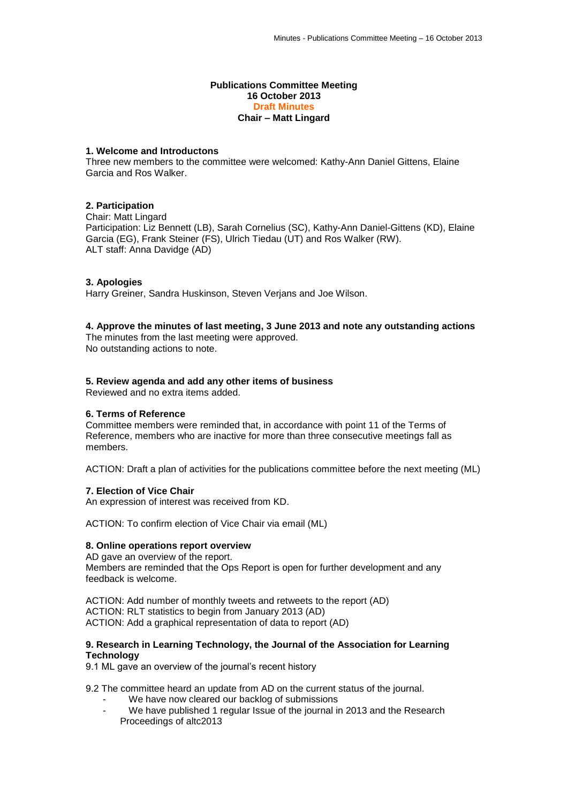#### **Publications Committee Meeting 16 October 2013 Draft Minutes Chair – Matt Lingard**

# **1. Welcome and Introductons**

Three new members to the committee were welcomed: Kathy-Ann Daniel Gittens, Elaine Garcia and Ros Walker.

### **2. Participation**

Chair: Matt Lingard Participation: Liz Bennett (LB), Sarah Cornelius (SC), Kathy-Ann Daniel-Gittens (KD), Elaine Garcia (EG), Frank Steiner (FS), Ulrich Tiedau (UT) and Ros Walker (RW). ALT staff: Anna Davidge (AD)

### **3. Apologies**

Harry Greiner, Sandra Huskinson, Steven Verjans and Joe Wilson.

### **4. Approve the minutes of last meeting, 3 June 2013 and note any outstanding actions**

The minutes from the last meeting were approved. No outstanding actions to note.

### **5. Review agenda and add any other items of business**

Reviewed and no extra items added.

### **6. Terms of Reference**

Committee members were reminded that, in accordance with point 11 of the Terms of Reference, members who are inactive for more than three consecutive meetings fall as members.

ACTION: Draft a plan of activities for the publications committee before the next meeting (ML)

### **7. Election of Vice Chair**

An expression of interest was received from KD.

ACTION: To confirm election of Vice Chair via email (ML)

### **8. Online operations report overview**

AD gave an overview of the report. Members are reminded that the Ops Report is open for further development and any feedback is welcome.

ACTION: Add number of monthly tweets and retweets to the report (AD) ACTION: RLT statistics to begin from January 2013 (AD) ACTION: Add a graphical representation of data to report (AD)

# **9. Research in Learning Technology, the Journal of the Association for Learning Technology**

9.1 ML gave an overview of the journal's recent history

9.2 The committee heard an update from AD on the current status of the journal.

- We have now cleared our backlog of submissions<br>- We have published 1 requier Issue of the journal in
- We have published 1 regular Issue of the journal in 2013 and the Research Proceedings of altc2013